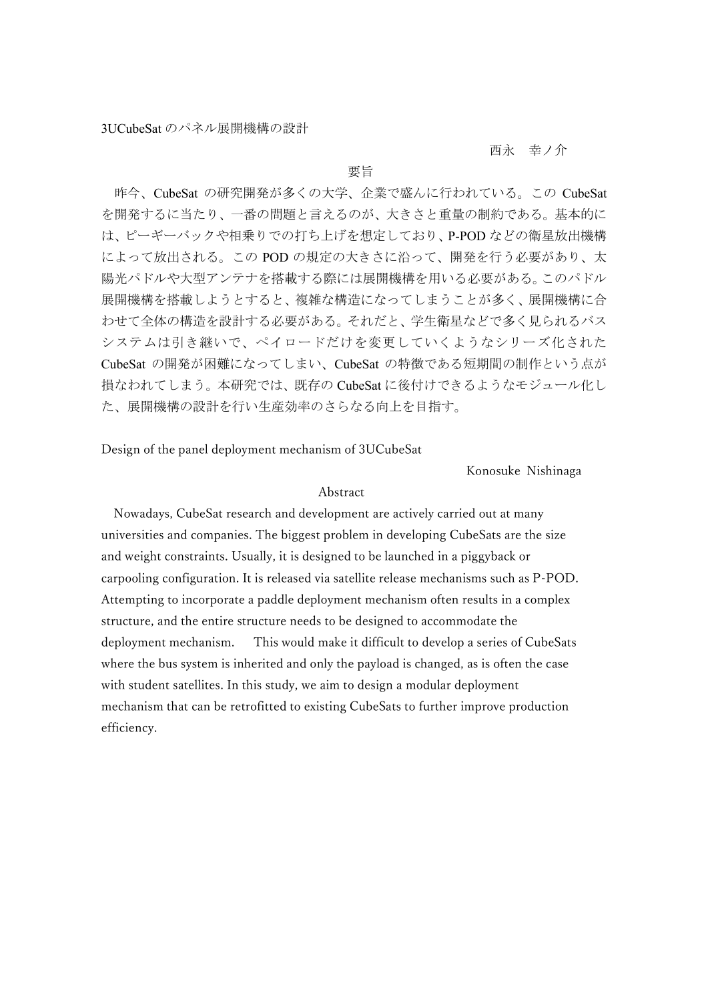## 西永 幸ノ介

## 要旨

昨今、CubeSat の研究開発が多くの大学、企業で盛んに行われている。この CubeSat を開発するに当たり、一番の問題と言えるのが、大きさと重量の制約である。基本的に は、ピーギーバックや相乗りでの打ち上げを想定しており、P-POD などの衛星放出機構 によって放出される。この POD の規定の大きさに沿って、開発を行う必要があり、太 陽光パドルや大型アンテナを搭載する際には展開機構を用いる必要がある。このパドル 展開機構を搭載しようとすると、複雑な構造になってしまうことが多く、展開機構に合 わせて全体の構造を設計する必要がある。それだと、学生衛星などで多く見られるバス システムは引き継いで、ペイロードだけを変更していくようなシリーズ化された CubeSat の開発が困難になってしまい、CubeSat の特徴である短期間の制作という点が 損なわれてしまう。本研究では、既存の CubeSat に後付けできるようなモジュール化し た、展開機構の設計を行い生産効率のさらなる向上を目指す。

Design of the panel deployment mechanism of 3UCubeSat

Konosuke Nishinaga

## Abstract

Nowadays, CubeSat research and development are actively carried out at many universities and companies. The biggest problem in developing CubeSats are the size and weight constraints. Usually, it is designed to be launched in a piggyback or carpooling configuration. It is released via satellite release mechanisms such as P-POD. Attempting to incorporate a paddle deployment mechanism often results in a complex structure, and the entire structure needs to be designed to accommodate the deployment mechanism. This would make it difficult to develop a series of CubeSats where the bus system is inherited and only the payload is changed, as is often the case with student satellites. In this study, we aim to design a modular deployment mechanism that can be retrofitted to existing CubeSats to further improve production efficiency.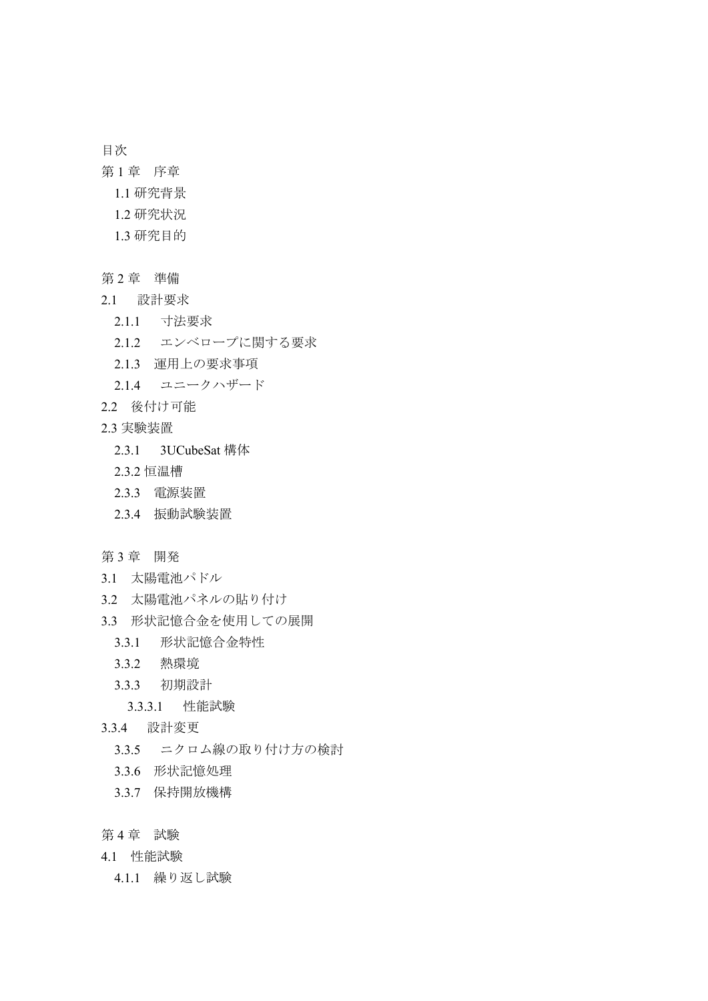目次

- 第1章 序章
	- 1.1 研究背景
	- 1.2 研究状況
	- 1.3 研究目的
- 第 2 章 準備
- 2.1 設計要求
	- 2.1.1 寸法要求
	- 2.1.2 エンベロープに関する要求
	- 2.1.3 運用上の要求事項
	- 2.1.4 ユニークハザード
- 2.2 後付け可能
- 2.3 実験装置
	- 2.3.1 3UCubeSat 構体
	- 2.3.2 恒温槽
	- 2.3.3 電源装置
	- 2.3.4 振動試験装置
- 第 3 章 開発
- 3.1 太陽電池パドル
- 3.2 太陽電池パネルの貼り付け
- 3.3 形状記憶合金を使用しての展開
	- 3.3.1 形状記憶合金特性
	- 3.3.2 熱環境
	- 3.3.3 初期設計
	- 3.3.3.1 性能試験
- 3.3.4 設計変更
	- 3.3.5 ニクロム線の取り付け方の検討
	- 3.3.6 形状記憶処理
	- 3.3.7 保持開放機構
- 第4章 試験
- 4.1 性能試験
	- 4.1.1 繰り返し試験